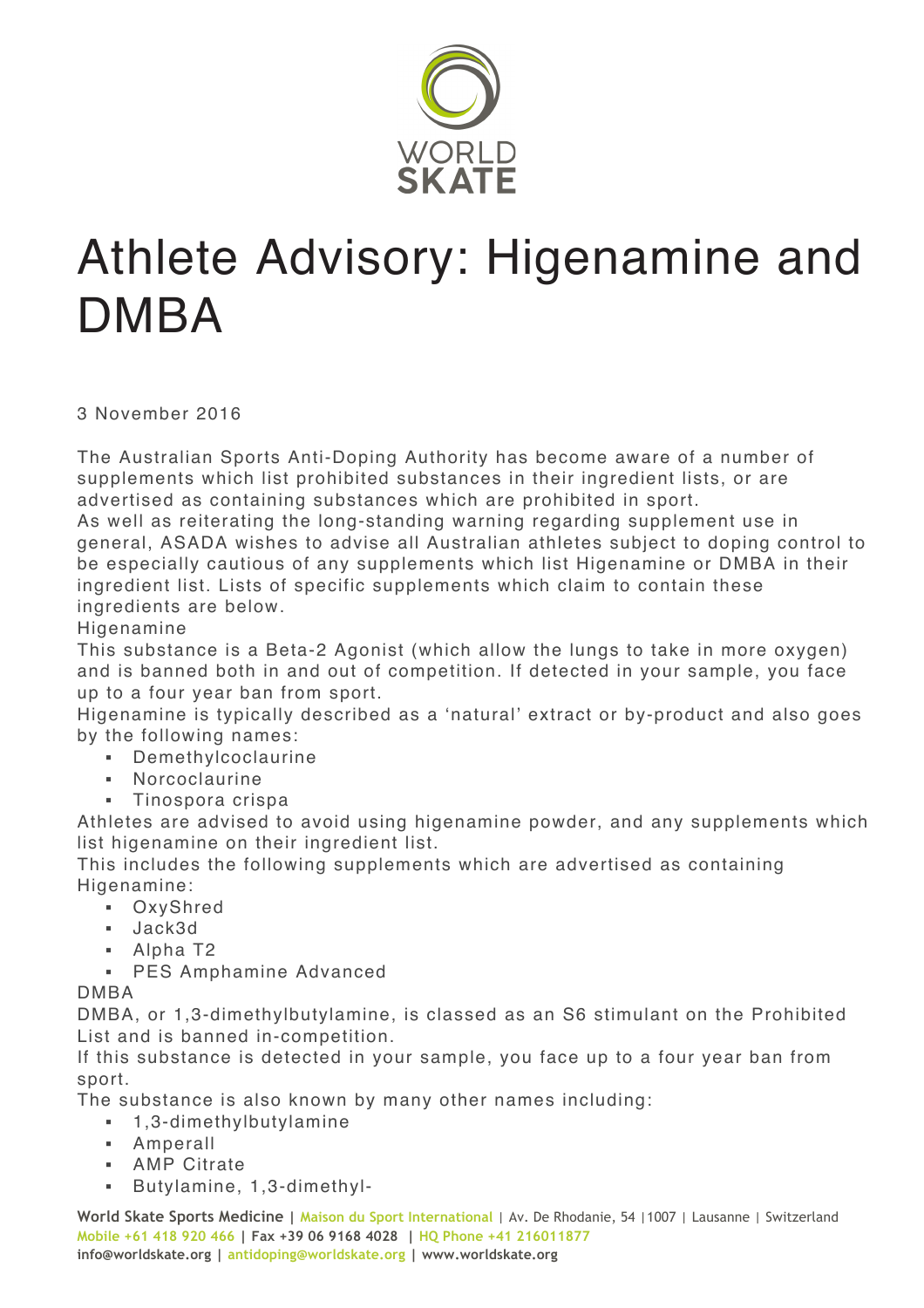

## Athlete Advisory: Higenamine and DMBA

3 November 2016

The Australian Sports Anti-Doping Authority has become aware of a number of supplements which list prohibited substances in their ingredient lists, or are advertised as containing substances which are prohibited in sport.

As well as reiterating the long-standing warning regarding supplement use in general, ASADA wishes to advise all Australian athletes subject to doping control to be especially cautious of any supplements which list Higenamine or DMBA in their ingredient list. Lists of specific supplements which claim to contain these ingredients are below.

## **Higenamine**

This substance is a Beta-2 Agonist (which allow the lungs to take in more oxygen) and is banned both in and out of competition. If detected in your sample, you face up to a four year ban from sport.

Higenamine is typically described as a 'natural' extract or by-product and also goes by the following names:

- § Demethylcoclaurine
- § Norcoclaurine
- § Tinospora crispa

Athletes are advised to avoid using higenamine powder, and any supplements which list higenamine on their ingredient list.

This includes the following supplements which are advertised as containing Higenamine:

- § OxyShred
- § Jack3d
- Alpha T2
- § PES Amphamine Advanced

## DMBA

DMBA, or 1,3-dimethylbutylamine, is classed as an S6 stimulant on the Prohibited List and is banned in-competition.

If this substance is detected in your sample, you face up to a four year ban from sport.

The substance is also known by many other names including:

- § 1,3-dimethylbutylamine
- § Amperall
- § AMP Citrate
- § Butylamine, 1,3-dimethyl-

**World Skate Sports Medicine | Maison du Sport International** | Av. De Rhodanie, 54 |1007 | Lausanne | Switzerland **Mobile +61 418 920 466 | Fax +39 06 9168 4028 | HQ Phone +41 216011877 info@worldskate.org | antidoping@worldskate.org | www.worldskate.org**